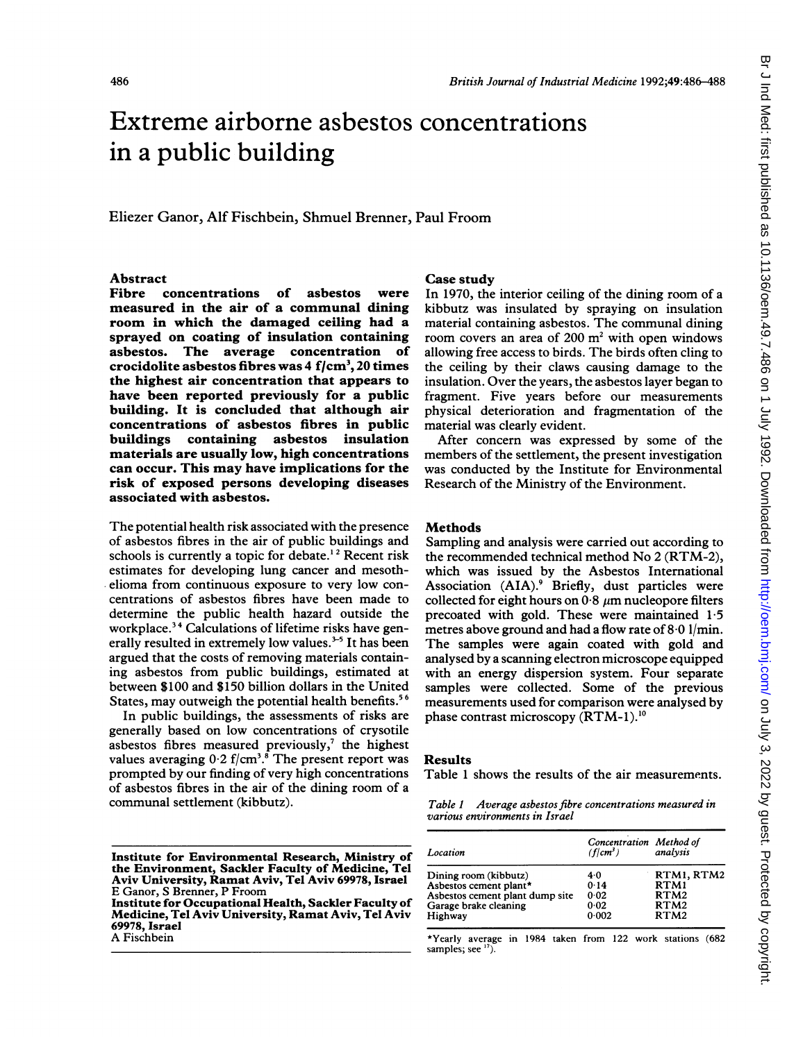# Extreme airborne asbestos concentrations in a public building

### Eliezer Ganor, Alf Fischbein, Shmuel Brenner, Paul Froom

# Abstract<br>Fibre c

concentrations of asbestos were measured in the air of a communal dining room in which the damaged ceiling had a sprayed on coating of insulation containing asbestos. The average concentration of crocidolite asbestos fibres was  $4 \text{ f/cm}^3$ , 20 times the highest air concentration that appears to have been reported previously for a public building. It is concluded that although air concentrations of asbestos fibres in public buildings containing asbestos insulation materials are usually low, high concentrations can occur. This may have implications for the risk of exposed persons developing diseases associated with asbestos.

The potential health risk associated with the presence of asbestos fibres in the air of public buildings and schools is currently a topic for debate.<sup>12</sup> Recent risk estimates for developing lung cancer and mesothelioma from continuous exposure to very low concentrations of asbestos fibres have been made to determine the public health hazard outside the workplace.<sup>34</sup> Calculations of lifetime risks have generally resulted in extremely low values.<sup> $3-5$ </sup> It has been argued that the costs of removing materials containing asbestos from public buildings, estimated at between \$100 and \$150 billion dollars in the United States, may outweigh the potential health benefits.<sup>56</sup>

In public buildings, the assessments of risks are generally based on low concentrations of crysotile asbestos fibres measured previously,<sup>7</sup> the highest values averaging  $0.2$  f/cm<sup>3</sup>.<sup>8</sup> The present report was prompted by our finding of very high concentrations of asbestos fibres in the air of the dining room of a communal settlement (kibbutz).

69978, Israel A Fischbein

#### Case study

In 1970, the interior ceiling of the dining room of a kibbutz was insulated by spraying on insulation material containing asbestos. The communal dining room covers an area of  $200 \text{ m}^2$  with open windows allowing free access to birds. The birds often cling to the ceiling by their claws causing damage to the insulation. Over the years, the asbestos layer began to fragment. Five years before our measurements physical deterioration and fragmentation of the material was clearly evident.

After concern was expressed by some of the members of the settlement, the present investigation was conducted by the Institute for Environmental Research of the Ministry of the Environment.

#### Methods

Sampling and analysis were carried out according to the recommended technical method No 2 (RTM-2), which was issued by the Asbestos International Association (AIA).<sup>9</sup> Briefly, dust particles were collected for eight hours on  $0.8 \mu m$  nucleopore filters precoated with gold. These were maintained 1-5 metres above ground and had a flow rate of 8-0 1/min. The samples were again coated with gold and analysed by a scanning electron microscope equipped with an energy dispersion system. Four separate samples were collected. Some of the previous measurements used for comparison were analysed by phase contrast microscopy  $(RTM-1)$ .<sup>10</sup>

#### Results

Table <sup>1</sup> shows the results of the air measurements.

|                                | Table 1 Average asbestos fibre concentrations measured in |  |
|--------------------------------|-----------------------------------------------------------|--|
| various environments in Israel |                                                           |  |

| (f   cm <sup>3</sup> ) | analysis                                               |
|------------------------|--------------------------------------------------------|
|                        | RTM1, RTM2                                             |
|                        | RTM1                                                   |
|                        | RTM <sub>2</sub>                                       |
|                        | RTM <sub>2</sub>                                       |
| 0.002                  | RTM <sub>2</sub>                                       |
|                        | Concentration Method of<br>4.0<br>0.14<br>0.02<br>0.02 |

\*Yearly average in 1984 taken from 122 work stations (682 samples; see 17).

Institute for Environmental Research, Ministry of the Environment, Sackler Faculty of Medicine, Tel Aviv University, Ramat Aviv, Tel Aviv 69978, Israel E Ganor, S Brenner, P Froom Institute for Occupational Health, Sackler Faculty of Medicine, Tel Aviv University, Ramat Aviv, Tel Aviv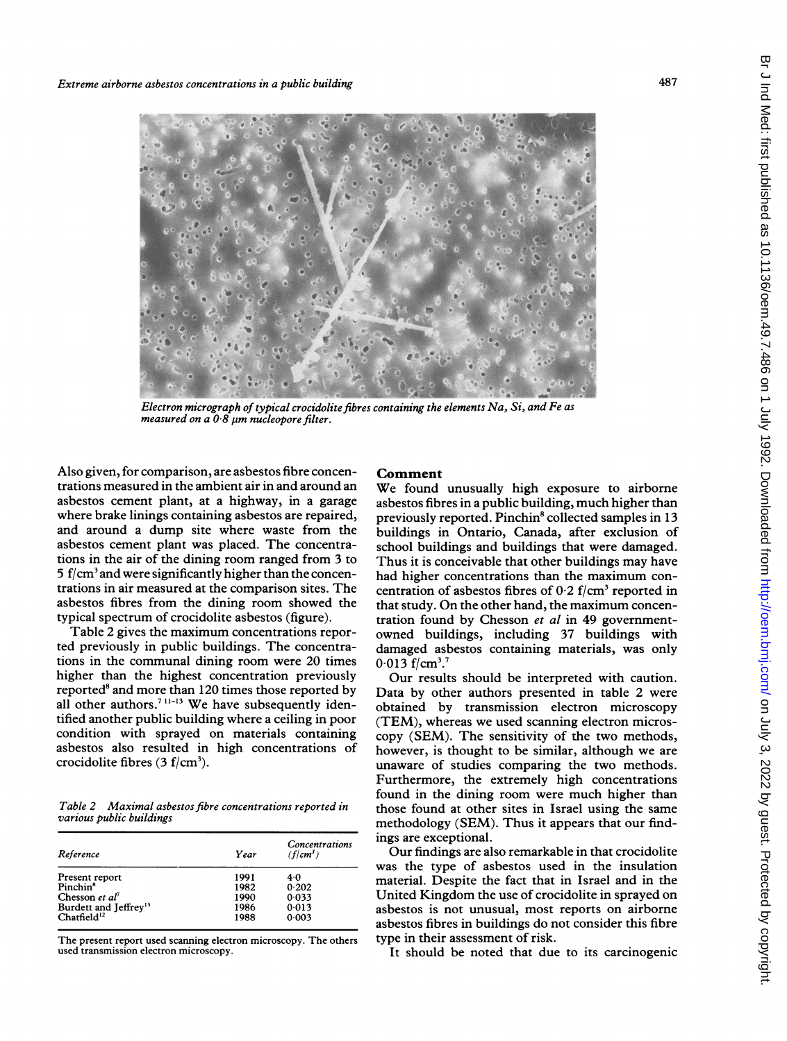

Electron micrograph of typical crocidolite fibres containing the elements Na, Si, and Fe as measured on a  $0.8$   $\mu$ m nucleopore filter.

Also given, for comparison, are asbestos fibre concentrations measured in the ambient air in and around an asbestos cement plant, at a highway, in a garage where brake linings containing asbestos are repaired, and around <sup>a</sup> dump site where waste from the asbestos cement plant was placed. The concentrations in the air of the dining room ranged from 3 to 5 f/cm<sup>3</sup> and were significantly higher than the concentrations in air measured at the comparison sites. The asbestos fibres from the dining room showed the typical spectrum of crocidolite asbestos (figure).

Table 2 gives the maximum concentrations reported previously in public buildings. The concentrations in the communal dining room were 20 times higher than the highest concentration previously reported<sup>8</sup> and more than 120 times those reported by all other authors.<sup>7 11-13</sup> We have subsequently identified another public building where a ceiling in poor condition with sprayed on materials containing asbestos also resulted in high concentrations of crocidolite fibres  $(3 f/cm<sup>3</sup>)$ .

Table 2 Maximal asbestos fibre concentrations reported in various public buildings

| Reference                                                    | Year | Concentrations<br>$(f cm^3)$ |
|--------------------------------------------------------------|------|------------------------------|
| Present report                                               | 1991 | 4.0                          |
| Pinchin <sup>8</sup>                                         | 1982 | 0.202                        |
| Chesson et al'                                               | 1990 | 0.033                        |
|                                                              | 1986 | 0.013                        |
| Burdett and Jeffrey <sup>13</sup><br>Chatfield <sup>12</sup> | 1988 | 0.003                        |

The present report used scanning electron microscopy. The others used transmission electron microscopy.

### Comment

We found unusually high exposure to airborne asbestos fibres in <sup>a</sup> public building, much higher than previously reported. Pinchin<sup>8</sup> collected samples in 13 buildings in Ontario, Canada, after exclusion of school buildings and buildings that were damaged. Thus it is conceivable that other buildings may have had higher concentrations than the maximum concentration of asbestos fibres of  $0.2$  f/cm<sup>3</sup> reported in that study. On the other hand, the maximum concentration found by Chesson et al in 49 governmentowned buildings, including 37 buildings with damaged asbestos containing materials, was only  $0.013$  f/cm<sup>3</sup>.<sup>7</sup>

Our results should be interpreted with caution. Data by other authors presented in table 2 were obtained by transmission electron microscopy (TEM), whereas we used scanning electron microscopy (SEM). The sensitivity of the two methods, however, is thought to be similar, although we are unaware of studies comparing the two methods. Furthermore, the extremely high concentrations found in the dining room were much higher than those found at other sites in Israel using the same methodology (SEM). Thus it appears that our findings are exceptional.

Our findings are also remarkable in that crocidolite was the type of asbestos used in the insulation material. Despite the fact that in Israel and in the United Kingdom the use of crocidolite in sprayed on asbestos is not unusual, most reports on airborne asbestos fibres in buildings do not consider this fibre type in their assessment of risk.

It should be noted that due to its carcinogenic

487